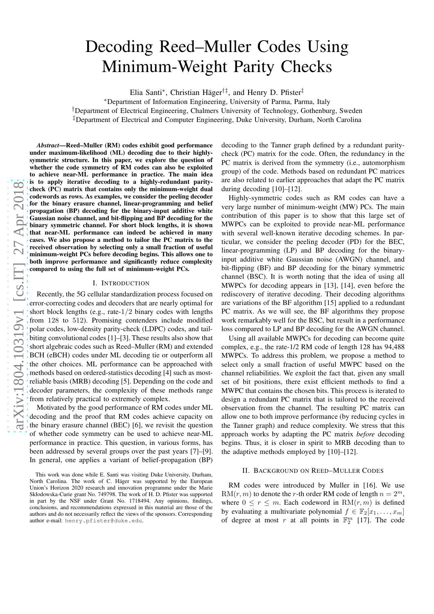# Decoding Reed–Muller Codes Using Minimum-Weight Parity Checks

Elia Santi\*, Christian Häger<sup>†‡</sup>, and Henry D. Pfister<sup>‡</sup>

<sup>∗</sup>Department of Information Engineering, University of Parma, Parma, Italy

†Department of Electrical Engineering, Chalmers University of Technology, Gothenburg, Sweden

‡Department of Electrical and Computer Engineering, Duke University, Durham, North Carolina

*Abstract*—Reed–Muller (RM) codes exhibit good performance under maximum-likelihood (ML) decoding due to their highlysymmetric structure. In this paper, we explore the question of whether the code symmetry of RM codes can also be exploited to achieve near-ML performance in practice. The main idea is to apply iterative decoding to a highly-redundant paritycheck (PC) matrix that contains only the minimum-weight dual codewords as rows. As examples, we consider the peeling decoder for the binary erasure channel, linear-programming and belief propagation (BP) decoding for the binary-input additive white Gaussian noise channel, and bit-flipping and BP decoding for the binary symmetric channel. For short block lengths, it is shown that near-ML performance can indeed be achieved in many cases. We also propose a method to tailor the PC matrix to the received observation by selecting only a small fraction of useful minimum-weight PCs before decoding begins. This allows one to both improve performance and significantly reduce complexity compared to using the full set of minimum-weight PCs.

### I. INTRODUCTION

Recently, the 5G cellular standardization process focused on error-correcting codes and decoders that are nearly optimal for short block lengths (e.g., rate-1/2 binary codes with lengths from 128 to 512). Promising contenders include modified polar codes, low-density parity-check (LDPC) codes, and tailbiting convolutional codes [1]–[3]. These results also show that short algebraic codes such as Reed–Muller (RM) and extended BCH (eBCH) codes under ML decoding tie or outperform all the other choices. ML performance can be approached with methods based on ordered-statistics decoding [4] such as mostreliable basis (MRB) decoding [5]. Depending on the code and decoder parameters, the complexity of these methods range from relatively practical to extremely complex.

Motivated by the good performance of RM codes under ML decoding and the proof that RM codes achieve capacity on the binary erasure channel (BEC) [6], we revisit the question of whether code symmetry can be used to achieve near-ML performance in practice. This question, in various forms, has been addressed by several groups over the past years [7]–[9]. In general, one applies a variant of belief-propagation (BP)

decoding to the Tanner graph defined by a redundant paritycheck (PC) matrix for the code. Often, the redundancy in the PC matrix is derived from the symmetry (i.e., automorphism group) of the code. Methods based on redundant PC matrices are also related to earlier approaches that adapt the PC matrix during decoding [10]–[12].

Highly-symmetric codes such as RM codes can have a very large number of minimum-weight (MW) PCs. The main contribution of this paper is to show that this large set of MWPCs can be exploited to provide near-ML performance with several well-known iterative decoding schemes. In particular, we consider the peeling decoder (PD) for the BEC, linear-programming (LP) and BP decoding for the binaryinput additive white Gaussian noise (AWGN) channel, and bit-flipping (BF) and BP decoding for the binary symmetric channel (BSC). It is worth noting that the idea of using all MWPCs for decoding appears in [13], [14], even before the rediscovery of iterative decoding. Their decoding algorithms are variations of the BF algorithm [15] applied to a redundant PC matrix. As we will see, the BF algorithms they propose work remarkably well for the BSC, but result in a performance loss compared to LP and BP decoding for the AWGN channel.

Using all available MWPCs for decoding can become quite complex, e.g., the rate-1/2 RM code of length 128 has 94,488 MWPCs. To address this problem, we propose a method to select only a small fraction of useful MWPC based on the channel reliabilities. We exploit the fact that, given any small set of bit positions, there exist efficient methods to find a MWPC that contains the chosen bits. This process is iterated to design a redundant PC matrix that is tailored to the received observation from the channel. The resulting PC matrix can allow one to both improve performance (by reducing cycles in the Tanner graph) and reduce complexity. We stress that this approach works by adapting the PC matrix *before* decoding begins. Thus, it is closer in spirit to MRB decoding than to the adaptive methods employed by [10]–[12].

#### II. BACKGROUND ON REED–MULLER CODES

RM codes were introduced by Muller in [16]. We use  $RM(r, m)$  to denote the r-th order RM code of length  $n = 2<sup>m</sup>$ , where  $0 \le r \le m$ . Each codeword in  $\mathrm{RM}(r,m)$  is defined by evaluating a multivariate polynomial  $f \in \mathbb{F}_2[x_1, \ldots, x_m]$ of degree at most r at all points in  $\mathbb{F}_2^m$  [17]. The code

This work was done while E. Santi was visiting Duke University, Durham, North Carolina. The work of C. Häger was supported by the European Union's Horizon 2020 research and innovation programme under the Marie Skłodowska-Curie grant No. 749798. The work of H. D. Pfister was supported in part by the NSF under Grant No. 1718494. Any opinions, findings, conclusions, and recommendations expressed in this material are those of the authors and do not necessarily reflect the views of the sponsors. Corresponding author e-mail: henry.pfister@duke.edu.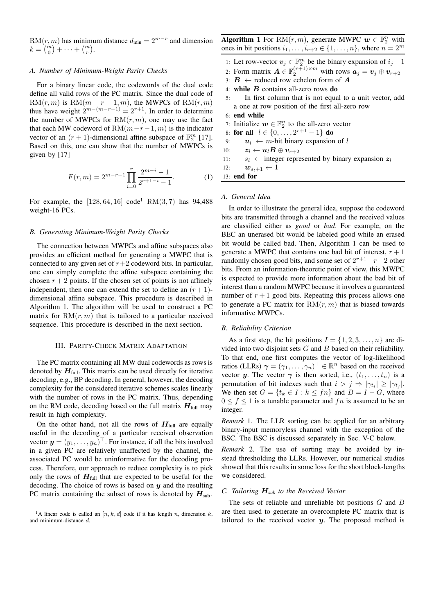RM $(r, m)$  has minimum distance  $d_{\text{min}} = 2^{m-r}$  and dimension  $k = {m \choose 0} + \cdots + {m \choose r}.$ 

#### *A. Number of Minimum-Weight Parity Checks*

For a binary linear code, the codewords of the dual code define all valid rows of the PC matrix. Since the dual code of  $RM(r, m)$  is  $RM(m - r - 1, m)$ , the MWPCs of  $RM(r, m)$ thus have weight  $2^{m-(m-r-1)} = 2^{r+1}$ . In order to determine the number of MWPCs for  $RM(r, m)$ , one may use the fact that each MW codeword of  $RM(m-r-1, m)$  is the indicator vector of an  $(r + 1)$ -dimensional affine subspace of  $\mathbb{F}_2^m$  [17]. Based on this, one can show that the number of MWPCs is given by [17]

$$
F(r,m) = 2^{m-r-1} \prod_{i=0}^{r} \frac{2^{m-i} - 1}{2^{r+1-i} - 1}.
$$
 (1)

For example, the  $[128, 64, 16] \text{ code}^1 \text{ RM}(3, 7)$  has 94,488 weight-16 PCs.

#### *B. Generating Minimum-Weight Parity Checks*

The connection between MWPCs and affine subspaces also provides an efficient method for generating a MWPC that is connected to any given set of  $r+2$  codeword bits. In particular, one can simply complete the affine subspace containing the chosen  $r + 2$  points. If the chosen set of points is not affinely independent, then one can extend the set to define an  $(r+1)$ dimensional affine subspace. This procedure is described in Algorithm 1. The algorithm will be used to construct a PC matrix for  $RM(r, m)$  that is tailored to a particular received sequence. This procedure is described in the next section.

#### III. PARITY-CHECK MATRIX ADAPTATION

The PC matrix containing all MW dual codewords as rows is denoted by  $H_{\text{full}}$ . This matrix can be used directly for iterative decoding, e.g., BP decoding. In general, however, the decoding complexity for the considered iterative schemes scales linearly with the number of rows in the PC matrix. Thus, depending on the RM code, decoding based on the full matrix  $H_{\text{full}}$  may result in high complexity.

On the other hand, not all the rows of  $H_{\text{full}}$  are equally useful in the decoding of a particular received observation vector  $\mathbf{y} = (y_1, \dots, y_n)^\top$ . For instance, if all the bits involved in a given PC are relatively unaffected by the channel, the associated PC would be uninformative for the decoding process. Therefore, our approach to reduce complexity is to pick only the rows of  $H_{\text{full}}$  that are expected to be useful for the decoding. The choice of rows is based on  $y$  and the resulting PC matrix containing the subset of rows is denoted by  $H_{sub}$ .

**Algorithm 1** For RM $(r, m)$ , generate MWPC  $w \in \mathbb{F}_2^n$  with ones in bit positions  $i_1, \ldots, i_{r+2} \in \{1, \ldots, n\}$ , where  $n = 2^m$ 

- 1: Let row-vector  $v_j \in \mathbb{F}_2^m$  be the binary expansion of  $i_j 1$
- 2: Form matrix  $\mathbf{A} \in \mathbb{F}_2^{(r+1)\times m}$  with rows  $\mathbf{a}_j = \mathbf{v}_j \oplus \mathbf{v}_{r+2}$
- 3:  $B \leftarrow$  reduced row echelon form of A
- 4: while  $B$  contains all-zero rows do
- 5: In first column that is not equal to a unit vector, add a one at row position of the first all-zero row
- 6: end while
- 7: Initialize  $w \in \mathbb{F}_2^n$  to the all-zero vector
- 8: for all  $l \in \{0, \ldots, 2^{r+1}-1\}$  do
- 9:  $u_l \leftarrow m$ -bit binary expansion of l

10:  $\mathbf{z}_{l} \leftarrow \mathbf{u}_{l} \boldsymbol{B} \oplus \mathbf{v}_{r+2}$ 

11:  $s_l \leftarrow$  integer represented by binary expansion  $z_l$ 

12:  $\mathbf{w}_{s_l+1} \leftarrow 1$ 

13: end for

# *A. General Idea*

In order to illustrate the general idea, suppose the codeword bits are transmitted through a channel and the received values are classified either as *good* or *bad*. For example, on the BEC an unerased bit would be labeled good while an erased bit would be called bad. Then, Algorithm 1 can be used to generate a MWPC that contains one bad bit of interest,  $r + 1$ randomly chosen good bits, and some set of  $2^{r+1} - r - 2$  other bits. From an information-theoretic point of view, this MWPC is expected to provide more information about the bad bit of interest than a random MWPC because it involves a guaranteed number of  $r + 1$  good bits. Repeating this process allows one to generate a PC matrix for  $RM(r, m)$  that is biased towards informative MWPCs.

#### *B. Reliability Criterion*

As a first step, the bit positions  $I = \{1, 2, 3, \ldots, n\}$  are divided into two disjoint sets  $G$  and  $B$  based on their reliability. To that end, one first computes the vector of log-likelihood ratios (LLRs)  $\boldsymbol{\gamma} = (\gamma_1, \dots, \gamma_n)^\top \in \mathbb{R}^n$  based on the received vector y. The vector  $\gamma$  is then sorted, i.e.,  $(t_1, \ldots, t_n)$  is a permutation of bit indexes such that  $i > j \Rightarrow |\gamma_{t_i}| \ge |\gamma_{t_j}|$ . We then set  $G = \{t_k \in I : k \leq fn\}$  and  $B = I - G$ , where  $0 \le f \le 1$  is a tunable parameter and fn is assumed to be an integer.

*Remark* 1*.* The LLR sorting can be applied for an arbitrary binary-input memoryless channel with the exception of the BSC. The BSC is discussed separately in Sec. V-C below.

*Remark* 2*.* The use of sorting may be avoided by instead thresholding the LLRs. However, our numerical studies showed that this results in some loss for the short block-lengths we considered.

#### *C. Tailoring* H*sub to the Received Vector*

The sets of reliable and unreliable bit positions  $G$  and  $B$ are then used to generate an overcomplete PC matrix that is tailored to the received vector  $y$ . The proposed method is

<sup>&</sup>lt;sup>1</sup>A linear code is called an [n, k, d] code if it has length n, dimension k, and minimum-distance d.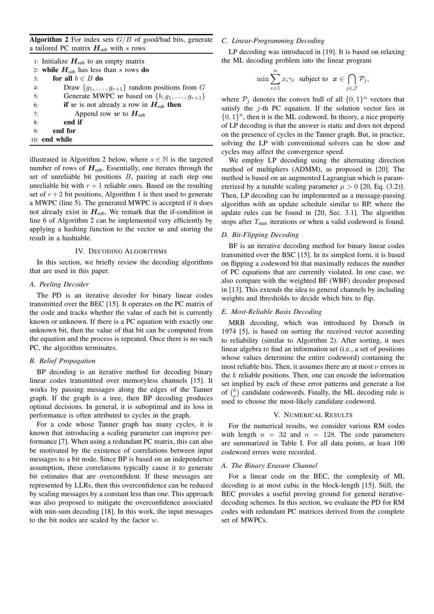Algorithm 2 For index sets  $G/B$  of good/bad bits, generate a tailored PC matrix  $H<sub>sub</sub>$  with s rows

|    | 1: Initialize $H_{sub}$ to an empty matrix               |
|----|----------------------------------------------------------|
|    | 2: while $H_{sub}$ has less than s rows do               |
| 3: | for all $b \in B$ do                                     |
| 4: | Draw $\{g_1, \ldots, g_{r+1}\}\$ random positions from G |
| 5: | Generate MWPC w based on $\{b, g_1, \ldots, g_{r+1}\}\$  |
| 6: | if w is not already a row in $H_{sub}$ then              |
| 7: | Append row w to $Hsub$                                   |
| 8: | end if                                                   |
| 9: | end for                                                  |
|    | $10:$ end while                                          |

illustrated in Algorithm 2 below, where  $s \in \mathbb{N}$  is the targeted number of rows of  $H<sub>sub</sub>$ . Essentially, one iterates through the set of unreliable bit positions B, pairing at each step one unreliable bit with  $r + 1$  reliable ones. Based on the resulting set of  $r + 2$  bit positions, Algorithm 1 is then used to generate a MWPC (line 5). The generated MWPC is accepted if it does not already exist in  $H_{sub}$ . We remark that the if-condition in line 6 of Algorithm 2 can be implemented very efficiently by applying a hashing function to the vector  $w$  and storing the result in a hashtable.

#### IV. DECODING ALGORITHMS

In this section, we briefly review the decoding algorithms that are used in this paper.

### *A. Peeling Decoder*

The PD is an iterative decoder for binary linear codes transmitted over the BEC [15]. It operates on the PC matrix of the code and tracks whether the value of each bit is currently known or unknown. If there is a PC equation with exactly one unknown bit, then the value of that bit can be computed from the equation and the process is repeated. Once there is no such PC, the algorithm terminates.

#### *B. Belief Propagation*

BP decoding is an iterative method for decoding binary linear codes transmitted over memoryless channels [15]. It works by passing messages along the edges of the Tanner graph. If the graph is a tree, then BP decoding produces optimal decisions. In general, it is suboptimal and its loss in performance is often attributed to cycles in the graph.

For a code whose Tanner graph has many cycles, it is known that introducing a scaling parameter can improve performance [7]. When using a redundant PC matrix, this can also be motivated by the existence of correlations between input messages to a bit node. Since BP is based on an independence assumption, these correlations typically cause it to generate bit estimates that are overconfident. If these messages are represented by LLRs, then this overconfidence can be reduced by scaling messages by a constant less than one. This approach was also proposed to mitigate the overconfidence associated with min-sum decoding [18]. In this work, the input messages to the bit nodes are scaled by the factor w.

## *C. Linear-Programming Decoding*

LP decoding was introduced in [19]. It is based on relaxing the ML decoding problem into the linear program

$$
\min \sum_{i=1}^n x_i \gamma_i \text{ subject to } \mathbf{x} \in \bigcap_{j \in \mathcal{J}} \mathcal{P}_j,
$$

where  $P_j$  denotes the convex hull of all  $\{0, 1\}^n$  vectors that satisfy the  $j$ -th PC equation. If the solution vector lies in  $\{0, 1\}^n$ , then it is the ML codeword. In theory, a nice property of LP decoding is that the answer is static and does not depend on the presence of cycles in the Tanner graph. But, in practice, solving the LP with conventional solvers can be slow and cycles may affect the convergence speed.

We employ LP decoding using the alternating direction method of multipliers (ADMM), as proposed in [20]. The method is based on an augmented Lagrangian which is parameterized by a tunable scaling parameter  $\mu > 0$  [20, Eq. (3.2)]. Then, LP decoding can be implemented as a message-passing algorithm with an update schedule similar to BP, where the update rules can be found in [20, Sec. 3.1]. The algorithm stops after  $T_{\text{max}}$  iterations or when a valid codeword is found.

#### *D. Bit-Flipping Decoding*

BF is an iterative decoding method for binary linear codes transmitted over the BSC [15]. In its simplest form, it is based on flipping a codeword bit that maximally reduces the number of PC equations that are currently violated. In one case, we also compare with the weighted BF (WBF) decoder proposed in [13]. This extends the idea to general channels by including weights and thresholds to decide which bits to flip.

#### *E. Most-Reliable Basis Decoding*

MRB decoding, which was introduced by Dorsch in 1974 [5], is based on sorting the received vector according to reliability (similar to Algorithm 2). After sorting, it uses linear algebra to find an information set (i.e., a set of positions whose values determine the entire codeword) containing the most reliable bits. Then, it assumes there are at most  $\nu$  errors in the  $k$  reliable positions. Then, one can encode the information set implied by each of these error patterns and generate a list of  $\binom{k}{\nu}$  candidate codewords. Finally, the ML decoding rule is used to choose the most-likely candidate codeword.

#### V. NUMERICAL RESULTS

For the numerical results, we consider various RM codes with length  $n = 32$  and  $n = 128$ . The code parameters are summarized in Table I. For all data points, at least 100 codeword errors were recorded.

#### *A. The Binary Erasure Channel*

For a linear code on the BEC, the complexity of ML decoding is at most cubic in the block-length [15]. Still, the BEC provides a useful proving ground for general iterativedecoding schemes. In this section, we evaluate the PD for RM codes with redundant PC matrices derived from the complete set of MWPCs.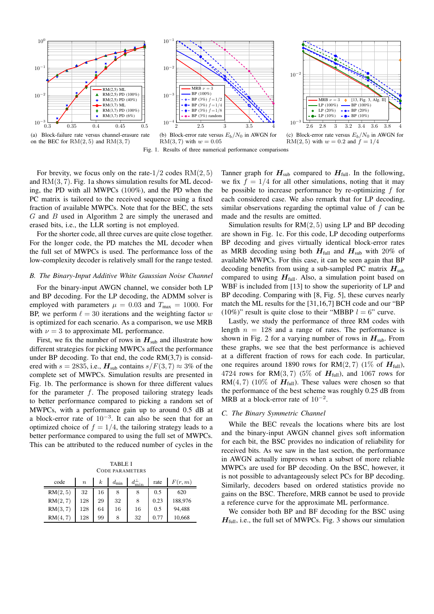

(a) Block-failure rate versus channel-erasure rate on the BEC for  $RM(2, 5)$  and  $RM(3, 7)$ 



(b) Block-error rate versus  $E_b/N_0$  in AWGN for  $RM(3, 7)$  with  $w = 0.05$ 





Fig. 1. Results of three numerical performance comparisons

For brevity, we focus only on the rate- $1/2$  codes  $RM(2, 5)$ and RM(3, 7). Fig. 1a shows simulation results for ML decoding, the PD with all MWPCs (100%), and the PD when the PC matrix is tailored to the received sequence using a fixed fraction of available MWPCs. Note that for the BEC, the sets G and B used in Algorithm 2 are simply the unerased and erased bits, i.e., the LLR sorting is not employed.

For the shorter code, all three curves are quite close together. For the longer code, the PD matches the ML decoder when the full set of MWPCs is used. The performance loss of the low-complexity decoder is relatively small for the range tested.

#### *B. The Binary-Input Additive White Gaussian Noise Channel*

For the binary-input AWGN channel, we consider both LP and BP decoding. For the LP decoding, the ADMM solver is employed with parameters  $\mu = 0.03$  and  $T_{\text{max}} = 1000$ . For BP, we perform  $\ell = 30$  iterations and the weighting factor w is optimized for each scenario. As a comparison, we use MRB with  $\nu = 3$  to approximate ML performance.

First, we fix the number of rows in  $H_{sub}$  and illustrate how different strategies for picking MWPCs affect the performance under BP decoding. To that end, the code  $RM(3,7)$  is considered with  $s = 2835$ , i.e.,  $H_{sub}$  contains  $s/F(3, 7) \approx 3\%$  of the complete set of MWPCs. Simulation results are presented in Fig. 1b. The performance is shown for three different values for the parameter  $f$ . The proposed tailoring strategy leads to better performance compared to picking a random set of MWPCs, with a performance gain up to around 0.5 dB at a block-error rate of  $10^{-3}$ . It can also be seen that for an optimized choice of  $f = 1/4$ , the tailoring strategy leads to a better performance compared to using the full set of MWPCs. This can be attributed to the reduced number of cycles in the

TABLE I CODE PARAMETERS

| code     | $\boldsymbol{n}$ | k  | $d_{\min}$ |    | rate | F(r, m) |
|----------|------------------|----|------------|----|------|---------|
| RM(2, 5) | 32               | 16 | 8          | 8  | 0.5  | 620     |
| RM(2, 7) | 128              | 29 | 32         | 8  | 0.23 | 188,976 |
| RM(3,7)  | 128              | 64 | 16         | 16 | 0.5  | 94,488  |
| RM(4,    | 128              | 99 | 8          | 32 |      | 10,668  |

Tanner graph for  $H_{sub}$  compared to  $H_{full}$ . In the following, we fix  $f = 1/4$  for all other simulations, noting that it may be possible to increase performance by re-optimizing  $f$  for each considered case. We also remark that for LP decoding, similar observations regarding the optimal value of  $f$  can be made and the results are omitted.

Simulation results for  $RM(2, 5)$  using LP and BP decoding are shown in Fig. 1c. For this code, LP decoding outperforms BP decoding and gives virtually identical block-error rates as MRB decoding using both  $H_{\text{full}}$  and  $H_{\text{sub}}$  with 20% of available MWPCs. For this case, it can be seen again that BP decoding benefits from using a sub-sampled PC matrix  $H<sub>sub</sub>$ compared to using  $H_{\text{full}}$ . Also, a simulation point based on WBF is included from [13] to show the superiority of LP and BP decoding. Comparing with [8, Fig. 5], these curves nearly match the ML results for the [31,16,7] BCH code and our "BP (10%)" result is quite close to their "MBBP  $l = 6$ " curve.

Lastly, we study the performance of three RM codes with length  $n = 128$  and a range of rates. The performance is shown in Fig. 2 for a varying number of rows in  $H_{sub}$ . From these graphs, we see that the best performance is achieved at a different fraction of rows for each code. In particular, one requires around 1890 rows for RM $(2, 7)$  (1% of  $H_{full}$ ), 4724 rows for RM $(3, 7)$  (5% of  $H_{full}$ ), and 1067 rows for RM(4,7) (10% of  $H_{\text{full}}$ ). These values were chosen so that the performance of the best scheme was roughly 0.25 dB from MRB at a block-error rate of  $10^{-2}$ .

#### *C. The Binary Symmetric Channel*

While the BEC reveals the locations where bits are lost and the binary-input AWGN channel gives soft information for each bit, the BSC provides no indication of reliability for received bits. As we saw in the last section, the performance in AWGN actually improves when a subset of more reliable MWPCs are used for BP decoding. On the BSC, however, it is not possible to advantageously select PCs for BP decoding. Similarly, decoders based on ordered statistics provide no gains on the BSC. Therefore, MRB cannot be used to provide a reference curve for the approximate ML performance.

We consider both BP and BF decoding for the BSC using  $H<sub>full</sub>$ , i.e., the full set of MWPCs. Fig. 3 shows our simulation